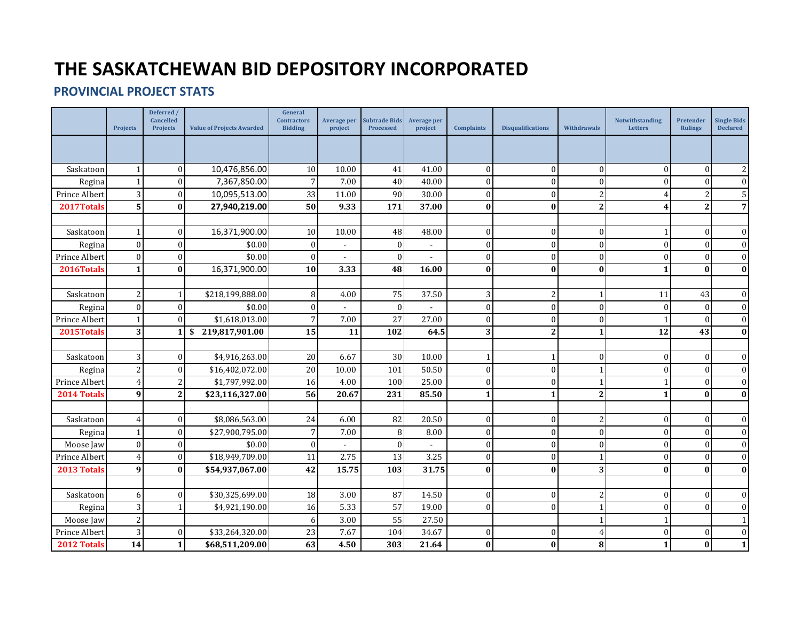## **THE SASKATCHEWAN BID DEPOSITORY INCORPORATED**

## **PROVINCIAL PROJECT STATS**

|               | <b>Projects</b>         | Deferred /<br>Cancelled<br><b>Projects</b> | <b>Value of Projects Awarded</b> | General<br><b>Contractors</b><br><b>Bidding</b> | Average per<br>project | <b>Subtrade Bids</b><br>Processed | <b>Average per</b><br>project | <b>Complaints</b> | <b>Disqualifications</b> | Withdrawals    | Notwithstanding<br><b>Letters</b> | Pretender<br><b>Rulings</b> | <b>Single Bids</b><br><b>Declared</b> |
|---------------|-------------------------|--------------------------------------------|----------------------------------|-------------------------------------------------|------------------------|-----------------------------------|-------------------------------|-------------------|--------------------------|----------------|-----------------------------------|-----------------------------|---------------------------------------|
|               |                         |                                            |                                  |                                                 |                        |                                   |                               |                   |                          |                |                                   |                             |                                       |
| Saskatoon     |                         | $\Omega$                                   | 10,476,856.00                    | 10                                              | 10.00                  | 41                                | 41.00                         | $\overline{0}$    | $\bf{0}$                 | $\mathbf{0}$   | 0                                 | $\boldsymbol{0}$            | $\overline{c}$                        |
| Regina        |                         | $\Omega$                                   | 7,367,850.00                     | $\overline{7}$                                  | 7.00                   | 40                                | 40.00                         | $\Omega$          | $\theta$                 | $\theta$       | 0                                 | $\boldsymbol{0}$            | $\boldsymbol{0}$                      |
| Prince Albert | $\overline{3}$          | $\Omega$                                   | 10,095,513.00                    | 33                                              | 11.00                  | 90                                | 30.00                         | $\Omega$          | $\Omega$                 | $\overline{2}$ | $\overline{4}$                    | $\overline{2}$              | $\mathsf S$                           |
| 2017Totals    | 5 <sup>1</sup>          | $\bf{0}$                                   | 27,940,219.00                    | 50                                              | 9.33                   | 171                               | 37.00                         | $\bf{0}$          | $\mathbf{0}$             | $\mathbf{2}$   | 4                                 | $\mathbf{2}$                | $\overline{7}$                        |
|               |                         |                                            |                                  |                                                 |                        |                                   |                               |                   |                          |                |                                   |                             |                                       |
| Saskatoon     | 1                       | $\Omega$                                   | 16,371,900.00                    | 10                                              | 10.00                  | 48                                | 48.00                         | $\overline{0}$    | $\overline{0}$           | $\mathbf{0}$   | $\mathbf{1}$                      | $\mathbf{0}$                | $\boldsymbol{0}$                      |
| Regina        | $\mathbf{0}$            | $\Omega$                                   | \$0.00                           | $\boldsymbol{0}$                                |                        | $\overline{0}$                    |                               | $\Omega$          | $\Omega$                 | $\theta$       | $\mathbf{0}$                      | $\mathbf{0}$                | $\boldsymbol{0}$                      |
| Prince Albert | $\Omega$                | $\Omega$                                   | \$0.00                           | $\overline{0}$                                  |                        | $\theta$                          |                               | $\Omega$          | $\Omega$                 | $\mathbf{0}$   | $\mathbf{0}$                      | $\overline{0}$              | $\mathbf{0}$                          |
| 2016Totals    | $\mathbf{1}$            | $\mathbf{0}$                               | 16,371,900.00                    | 10                                              | 3.33                   | 48                                | 16.00                         | $\bf{0}$          | $\bf{0}$                 | $\bf{0}$       | $\mathbf{1}$                      | $\bf{0}$                    | $\bf{0}$                              |
|               |                         |                                            |                                  |                                                 |                        |                                   |                               |                   |                          |                |                                   |                             |                                       |
| Saskatoon     | 2                       |                                            | \$218,199,888.00                 | 8                                               | 4.00                   | 75                                | 37.50                         | 3                 | $\overline{2}$           | $\mathbf{1}$   | 11                                | 43                          | $\boldsymbol{0}$                      |
| Regina        | $\Omega$                | $\Omega$                                   | \$0.00                           | $\overline{0}$                                  |                        | $\Omega$                          |                               | $\Omega$          | $\Omega$                 | $\Omega$       | $\Omega$                          | $\overline{0}$              | $\mathbf{0}$                          |
| Prince Albert |                         | $\Omega$                                   | \$1,618,013.00                   | $\overline{7}$                                  | 7.00                   | 27                                | 27.00                         | $\Omega$          | $\Omega$                 | $\Omega$       | 1                                 | $\Omega$                    | $\mathbf{0}$                          |
| 2015Totals    | $\overline{\mathbf{3}}$ |                                            | \$219,817,901.00                 | 15                                              | 11                     | 102                               | 64.5                          | 3                 | $\mathbf{2}$             | $\mathbf{1}$   | 12                                | 43                          | $\bf{0}$                              |
|               |                         |                                            |                                  |                                                 |                        |                                   |                               |                   |                          |                |                                   |                             |                                       |
| Saskatoon     | 3                       | $\Omega$                                   | \$4,916,263.00                   | 20                                              | 6.67                   | 30                                | 10.00                         |                   |                          | $\Omega$       | $\mathbf{0}$                      | $\overline{0}$              | $\boldsymbol{0}$                      |
| Regina        | $\overline{2}$          | $\Omega$                                   | \$16,402,072.00                  | 20                                              | 10.00                  | 101                               | 50.50                         | $\Omega$          | $\Omega$                 | $\mathbf{1}$   | $\mathbf{0}$                      | $\overline{0}$              | $\boldsymbol{0}$                      |
| Prince Albert | 4                       | $\overline{2}$                             | \$1,797,992.00                   | 16                                              | 4.00                   | 100                               | 25.00                         | $\overline{0}$    | $\theta$                 | $\mathbf{1}$   |                                   | $\boldsymbol{0}$            | $\boldsymbol{0}$                      |
| 2014 Totals   | $\boldsymbol{9}$        | $\mathbf{2}$                               | \$23,116,327.00                  | 56                                              | 20.67                  | 231                               | 85.50                         | $\mathbf{1}$      | 1                        | $\overline{2}$ | $\mathbf{1}$                      | $\bf{0}$                    | $\bf{0}$                              |
|               |                         |                                            |                                  |                                                 |                        |                                   |                               |                   |                          |                |                                   |                             |                                       |
| Saskatoon     | 4                       | $\Omega$                                   | \$8,086,563.00                   | 24                                              | 6.00                   | 82                                | 20.50                         | $\Omega$          | $\Omega$                 | 2              | $\mathbf{0}$                      | $\overline{0}$              | $\mathbf{0}$                          |
| Regina        |                         | $\Omega$                                   | \$27,900,795.00                  | $\overline{7}$                                  | 7.00                   | 8                                 | 8.00                          | $\Omega$          | $\Omega$                 | $\mathbf{0}$   | 0                                 | $\mathbf{0}$                | $\mathbf{0}$                          |
| Moose Jaw     | $\mathbf{0}$            | $\Omega$                                   | \$0.00                           | $\boldsymbol{0}$                                |                        | $\theta$                          |                               | $\Omega$          | $\Omega$                 | $\mathbf{0}$   | $\mathbf{0}$                      | $\mathbf{0}$                | $\boldsymbol{0}$                      |
| Prince Albert | 4                       | $\Omega$                                   | \$18,949,709.00                  | 11                                              | 2.75                   | 13                                | 3.25                          | $\Omega$          | $\Omega$                 | $\mathbf{1}$   | $\Omega$                          | $\overline{0}$              | $\mathbf{0}$                          |
| 2013 Totals   | $\boldsymbol{9}$        | $\bf{0}$                                   | \$54,937,067.00                  | 42                                              | 15.75                  | 103                               | 31.75                         | $\bf{0}$          | $\bf{0}$                 | 3              | $\bf{0}$                          | $\mathbf{0}$                | $\bf{0}$                              |
|               |                         |                                            |                                  |                                                 |                        |                                   |                               |                   |                          |                |                                   |                             |                                       |
| Saskatoon     | 6                       | $\Omega$                                   | \$30,325,699.00                  | 18                                              | 3.00                   | 87                                | 14.50                         | $\overline{0}$    | $\theta$                 | 2              | $\mathbf{0}$                      | $\overline{0}$              | $\mathbf{0}$                          |
| Regina        | $\overline{3}$          |                                            | \$4,921,190.00                   | 16                                              | 5.33                   | 57                                | 19.00                         | $\Omega$          | $\Omega$                 | 1              | $\Omega$                          | $\mathbf{0}$                | $\mathbf{0}$                          |
| Moose Jaw     | $\overline{2}$          |                                            |                                  | 6                                               | 3.00                   | 55                                | 27.50                         |                   |                          | 1              | $\mathbf{1}$                      |                             | $\mathbf{1}$                          |
| Prince Albert | 3                       | $\Omega$                                   | \$33,264,320.00                  | 23                                              | 7.67                   | 104                               | 34.67                         | $\mathbf{0}$      | $\theta$                 | 4              | $\boldsymbol{0}$                  | $\boldsymbol{0}$            | $\boldsymbol{0}$                      |
| 2012 Totals   | 14                      | 1                                          | \$68,511,209.00                  | 63                                              | 4.50                   | 303                               | 21.64                         | $\bf{0}$          | $\bf{0}$                 | 8              | 1                                 | $\bf{0}$                    | $\mathbf{1}$                          |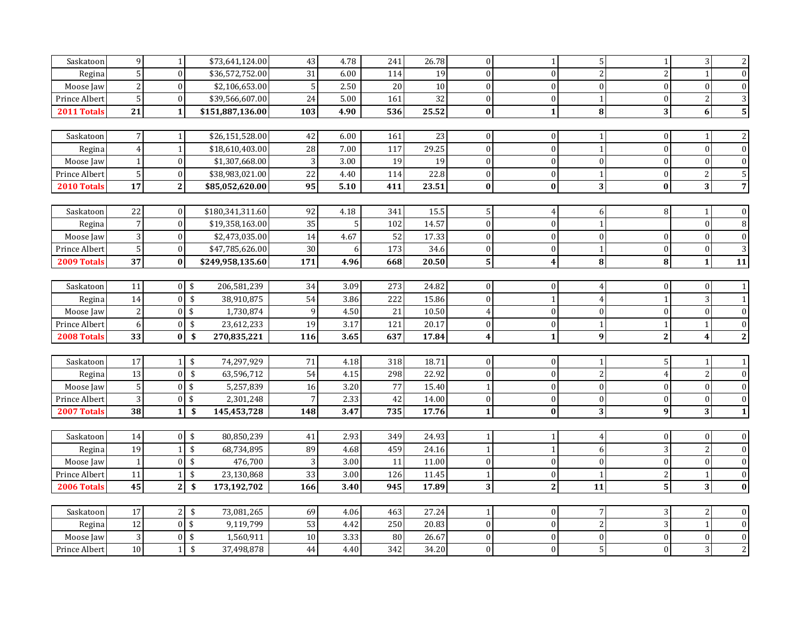| Saskatoon     | 9               | 1 <sup>1</sup> |                           | \$73,641,124.00  | 43              | 4.78 | 241 | 26.78    | $\overline{0}$          | 1                       | 5 <sub>l</sub>   | 1 <sup>1</sup> | $\overline{3}$          | $\overline{2}$          |
|---------------|-----------------|----------------|---------------------------|------------------|-----------------|------|-----|----------|-------------------------|-------------------------|------------------|----------------|-------------------------|-------------------------|
|               | 5               | $\Omega$       |                           | \$36,572,752.00  | 31              | 6.00 | 114 |          | $\Omega$                | $\Omega$                | $\overline{c}$   | $\overline{2}$ | $\mathbf{1}$            | $\boldsymbol{0}$        |
| Regina        |                 | $\Omega$       |                           | \$2,106,653.00   | 5               | 2.50 | 20  | 19<br>10 | $\Omega$                | $\mathbf{0}$            |                  | $\overline{0}$ | $\mathbf{0}$            | $\boldsymbol{0}$        |
| Moose Jaw     | $\sqrt{2}$      |                |                           |                  |                 |      |     | 32       | $\Omega$                | $\theta$                | $\mathbf{0}$     |                |                         |                         |
| Prince Albert | $\sqrt{5}$      | $\Omega$       |                           | \$39,566,607.00  | 24              | 5.00 | 161 |          |                         |                         |                  | $\theta$       | $\sqrt{2}$              | $\mathbf{3}$            |
| 2011 Totals   | 21              | 1              |                           | \$151,887,136.00 | 103             | 4.90 | 536 | 25.52    | $\mathbf{0}$            | $\mathbf{1}$            | $\bf{8}$         | 3 <sup>1</sup> | $6\phantom{a}$          | 5 <sup>1</sup>          |
|               |                 |                |                           |                  |                 |      |     |          |                         |                         |                  |                |                         |                         |
| Saskatoon     | $\overline{7}$  |                |                           | \$26,151,528.00  | 42              | 6.00 | 161 | 23       | $\mathbf{0}$            | $\Omega$                | 1                | $\Omega$       | $\mathbf{1}$            | $\sqrt{2}$              |
| Regina        | $\overline{4}$  |                |                           | \$18,610,403.00  | 28              | 7.00 | 117 | 29.25    | $\Omega$                | $\Omega$                | $\mathbf{1}$     | $\Omega$       | $\mathbf{0}$            | $\overline{0}$          |
| Moose Jaw     | $\mathbf{1}$    | $\Omega$       |                           | \$1,307,668.00   | $\sqrt{3}$      | 3.00 | 19  | 19       | $\overline{0}$          | $\mathbf{0}$            | $\mathbf{0}$     | $\overline{0}$ | $\mathbf{0}$            | $\overline{0}$          |
| Prince Albert | $\sqrt{5}$      | $\overline{0}$ |                           | \$38,983,021.00  | $\overline{22}$ | 4.40 | 114 | 22.8     | $\overline{0}$          | $\mathbf{0}$            | $\mathbf{1}$     | $\overline{0}$ | $\sqrt{2}$              | 5                       |
| 2010 Totals   | $\overline{17}$ | $\overline{2}$ |                           | \$85,052,620.00  | $\overline{95}$ | 5.10 | 411 | 23.51    | $\bf{0}$                | $\bf{0}$                | 3                | $\bf{0}$       | $\overline{\mathbf{3}}$ | $\overline{7}$          |
|               |                 |                |                           |                  |                 |      |     |          |                         |                         |                  |                |                         |                         |
| Saskatoon     | 22              | $\overline{0}$ |                           | \$180,341,311.60 | 92              | 4.18 | 341 | 15.5     | 5 <sup>1</sup>          | 4                       | 6                | 8              | $\mathbf{1}$            | $\mathbf{0}$            |
| Regina        | $\overline{7}$  | $\Omega$       |                           | \$19,358,163.00  | 35              | 5    | 102 | 14.57    | $\Omega$                | $\theta$                | $\mathbf{1}$     |                | $\mathbf{0}$            | $\, 8$                  |
| Moose Jaw     | $\overline{3}$  | $\Omega$       |                           | \$2,473,035.00   | 14              | 4.67 | 52  | 17.33    | $\Omega$                | $\Omega$                | $\mathbf{0}$     | $\overline{0}$ | $\mathbf{0}$            | $\mathbf{0}$            |
| Prince Albert | $\sqrt{5}$      | $\overline{0}$ |                           | \$47,785,626.00  | 30              |      | 173 | 34.6     | $\Omega$                | $\overline{0}$          | $\mathbf{1}$     | $\overline{0}$ | $\mathbf{0}$            | $\overline{3}$          |
| 2009 Totals   | 37              | $\bf{0}$       |                           | \$249,958,135.60 | 171             | 4.96 | 668 | 20.50    | 5 <sup>1</sup>          | $\overline{\mathbf{4}}$ | 8                | $\bf{8}$       | $\mathbf{1}$            | 11                      |
|               |                 |                |                           |                  |                 |      |     |          |                         |                         |                  |                |                         |                         |
| Saskatoon     | 11              |                | 0 <sup>5</sup>            | 206,581,239      | 34              | 3.09 | 273 | 24.82    | $\Omega$                | $\Omega$                | 4                | $\overline{0}$ | $\mathbf{0}$            | $\mathbf{1}$            |
| Regina        | 14              | $\Omega$       | $\sqrt{2}$                | 38,910,875       | 54              | 3.86 | 222 | 15.86    | $\Omega$                | $\mathbf{1}$            | $\overline{4}$   | $\mathbf{1}$   | 3                       | $\,1\,$                 |
| Moose Jaw     | $\sqrt{2}$      |                | $0 \sqrt{3}$              | 1,730,874        | 9               | 4.50 | 21  | 10.50    | $\overline{4}$          | $\mathbf{0}$            | $\boldsymbol{0}$ | $\mathbf{0}$   | $\boldsymbol{0}$        | $\overline{0}$          |
| Prince Albert | 6               | $\overline{0}$ | \$                        | 23,612,233       | 19              | 3.17 | 121 | 20.17    | $\overline{0}$          | $\mathbf{0}$            | 1                | $\mathbf{1}$   | $\mathbf 1$             | $\overline{0}$          |
| 2008 Totals   | 33              | οL             | -\$                       | 270,835,221      | 116             | 3.65 | 637 | 17.84    | $\overline{\mathbf{4}}$ | $\mathbf{1}$            | 9 <sup>1</sup>   | $\mathbf{2}$   | $\overline{\mathbf{4}}$ | $\overline{2}$          |
|               |                 |                |                           |                  |                 |      |     |          |                         |                         |                  |                |                         |                         |
|               |                 |                |                           |                  |                 |      |     |          |                         |                         |                  |                |                         |                         |
| Saskatoon     | $17\,$          |                | $1 \,$ \$                 | 74,297,929       | 71              | 4.18 | 318 | 18.71    | $\overline{0}$          | $\overline{0}$          | $\mathbf{1}$     | 5 <sub>l</sub> | $\mathbf{1}$            | $\mathbf{1}$            |
| Regina        | 13              | $\overline{0}$ | \$                        | 63,596,712       | 54              | 4.15 | 298 | 22.92    | $\Omega$                | $\mathbf{0}$            | $\overline{c}$   | $\overline{4}$ | $\overline{2}$          | $\mathbf{0}$            |
| Moose Jaw     | $\sqrt{5}$      |                | 0 <sup>1</sup>            | 5,257,839        | 16              | 3.20 | 77  | 15.40    | $\mathbf{1}$            | $\mathbf{0}$            | $\overline{0}$   | $\overline{0}$ | $\bf{0}$                | $\boldsymbol{0}$        |
| Prince Albert | $\sqrt{3}$      | $\theta$       | -\$                       | 2,301,248        | $\overline{7}$  | 2.33 | 42  | 14.00    | $\overline{0}$          | $\mathbf{0}$            | $\overline{0}$   | $\overline{0}$ | $\boldsymbol{0}$        | $\overline{0}$          |
| 2007 Totals   | 38              | 1 <sup>1</sup> | \$                        | 145,453,728      | 148             | 3.47 | 735 | 17.76    | $\mathbf{1}$            | $\bf{0}$                | 3                | 9              | $\mathbf{3}$            | $1\vert$                |
|               |                 |                |                           |                  |                 |      |     |          |                         |                         |                  |                |                         |                         |
| Saskatoon     | 14              |                | $\overline{0}$ \$         | 80,850,239       | 41              | 2.93 | 349 | 24.93    | $\mathbf{1}$            | $\mathbf{1}$            | 4                | $\overline{0}$ | $\overline{0}$          | $\mathbf{0}$            |
| Regina        | 19              |                | $\sqrt{2}$                | 68,734,895       | 89              | 4.68 | 459 | 24.16    | $\mathbf{1}$            | $\mathbf{1}$            | 6                | 3              | $\overline{2}$          | $\overline{0}$          |
| Moose Jaw     | $\mathbf{1}$    | $\Omega$       | \$                        | 476,700          | 3               | 3.00 | 11  | 11.00    | $\Omega$                | $\theta$                | $\Omega$         | $\Omega$       | $\boldsymbol{0}$        | $\mathbf{0}$            |
| Prince Albert | 11              | 1 <sup>1</sup> | \$                        | 23,130,868       | 33              | 3.00 | 126 | 11.45    | 1                       | $\mathbf{0}$            | $\mathbf{1}$     | $\mathbf{2}$   | $\mathbf 1$             | $\overline{0}$          |
| 2006 Totals   | $\overline{45}$ | $\mathbf{2}$   | $\boldsymbol{\mathsf{s}}$ | 173,192,702      | 166             | 3.40 | 945 | 17.89    | $\mathbf{3}$            | $\mathbf{2}$            | 11               | $5\vert$       | $\overline{\mathbf{3}}$ | $\overline{\mathbf{0}}$ |
|               |                 |                |                           |                  |                 |      |     |          |                         |                         |                  |                |                         |                         |
| Saskatoon     | 17              | 2 <sup>1</sup> | \$                        | 73,081,265       | 69              | 4.06 | 463 | 27.24    | 1 <sup>1</sup>          | $\mathbf{0}$            | $7\overline{}$   | $\overline{3}$ | 2                       | $\mathbf{0}$            |
| Regina        | $\overline{12}$ |                | $0 \mid \mathsf{S}$       | 9,119,799        | 53              | 4.42 | 250 | 20.83    | $\overline{0}$          | $\mathbf{0}$            | 2                | $\overline{3}$ | $\mathbf{1}$            | $\boldsymbol{0}$        |
| Moose Jaw     | $\sqrt{3}$      | $\overline{0}$ | \$                        | 1,560,911        | 10              | 3.33 | 80  | 26.67    | $\Omega$                | $\Omega$                | $\mathbf{0}$     | $\overline{0}$ | $\boldsymbol{0}$        | $\boldsymbol{0}$        |
| Prince Albert | $10\,$          | 1 <sup>1</sup> | $\sqrt[6]{\frac{1}{2}}$   | 37,498,878       | 44              | 4.40 | 342 | 34.20    | $\Omega$                | $\overline{0}$          | 5 <sup>1</sup>   | $\overline{0}$ | 3                       | $\sqrt{2}$              |
|               |                 |                |                           |                  |                 |      |     |          |                         |                         |                  |                |                         |                         |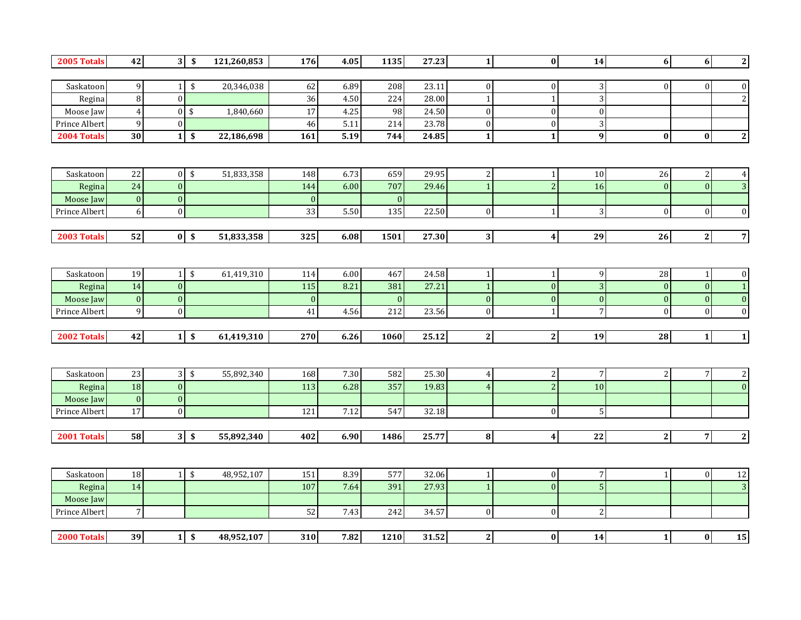| 2005 Totals   | 42               |                | $3 \overline{\smash{\circ}}$ | 121,260,853 | 176             | 4.05 | 1135             | 27.23 | $\mathbf{1}$   | $\mathbf{0}$                     | 14                   | 6 <sup>1</sup>   | $\overline{\mathbf{6}}$ | $\overline{\mathbf{2}}$        |
|---------------|------------------|----------------|------------------------------|-------------|-----------------|------|------------------|-------|----------------|----------------------------------|----------------------|------------------|-------------------------|--------------------------------|
|               |                  |                |                              |             |                 |      |                  |       |                |                                  |                      |                  |                         |                                |
| Saskatoon     | 9                | 11             | $\boldsymbol{\$}$            | 20,346,038  | 62              | 6.89 | 208              | 23.11 | $\mathbf{0}$   | $\mathbf{0}$                     | $\vert$ 3            | $\overline{0}$   | $\overline{0}$          | $\boldsymbol{0}$               |
| Regina        | $\, 8$           | $\overline{0}$ |                              |             | $\overline{36}$ | 4.50 | 224              | 28.00 | $\overline{1}$ |                                  | $\vert$              |                  |                         | $\sqrt{2}$                     |
| Moose Jaw     | $\overline{4}$   | $\overline{0}$ | \$                           | 1,840,660   | 17              | 4.25 | 98               | 24.50 | $\theta$       | $\mathbf{0}$                     | $\Omega$             |                  |                         |                                |
| Prince Albert | $\mathsf 9$      | $\overline{0}$ |                              |             | 46              | 5.11 | 214              | 23.78 | $\mathbf{0}$   | $\boldsymbol{0}$                 | $\overline{3}$       |                  |                         |                                |
| 2004 Totals   | 30               | 1 <sup>1</sup> | \$                           | 22,186,698  | 161             | 5.19 | 744              | 24.85 | $\mathbf{1}$   | $\mathbf{1}$                     | 9 <sub>l</sub>       | $\bf{0}$         | $\mathbf{0}$            | $\mathbf{2}$                   |
|               |                  |                |                              |             |                 |      |                  |       |                |                                  |                      |                  |                         |                                |
|               |                  |                |                              |             |                 |      |                  |       |                |                                  |                      |                  |                         |                                |
| Saskatoon     | 22               | 0              | $\sqrt[6]{\frac{1}{2}}$      | 51,833,358  | 148             | 6.73 | 659              | 29.95 | 2              | $\mathbf{1}$                     | 10                   | $26\,$           | $\sqrt{2}$              | $\boldsymbol{4}$               |
| Regina        | 24               | $\Omega$       |                              |             | 144             | 6.00 | 707              | 29.46 |                | $\overline{2}$                   | 16                   | $\theta$         | $\overline{0}$          | $\overline{3}$                 |
| Moose Jaw     | $\boldsymbol{0}$ | $\overline{0}$ |                              |             | $\mathbf{0}$    |      | $\boldsymbol{0}$ |       |                |                                  |                      |                  |                         |                                |
| Prince Albert | 6                | $\overline{0}$ |                              |             | 33              | 5.50 | 135              | 22.50 | $\mathbf{0}$   | $\mathbf{1}$                     | 3                    | $\boldsymbol{0}$ | $\boldsymbol{0}$        | $\boldsymbol{0}$               |
|               |                  |                |                              |             |                 |      |                  |       |                |                                  |                      |                  |                         |                                |
| 2003 Totals   | 52               |                | $\overline{0}$ \$            | 51,833,358  | 325             | 6.08 | 1501             | 27.30 | $\mathbf{3}$   | $\boldsymbol{4}$                 | ${\bf 29}$           | 26               | $\mathbf{2}$            | $\overline{7}$                 |
|               |                  |                |                              |             |                 |      |                  |       |                |                                  |                      |                  |                         |                                |
|               |                  |                |                              |             |                 |      |                  |       |                |                                  |                      |                  |                         |                                |
| Saskatoon     | 19               | 1 <sup>1</sup> | \$                           | 61,419,310  | 114             | 6.00 | 467              | 24.58 | $\mathbf{1}$   | $\mathbf{1}$                     | 9                    | 28               | $\mathbf{1}$            | $\boldsymbol{0}$               |
| Regina        | 14               | $\overline{0}$ |                              |             | 115             | 8.21 | 381              | 27.21 | $\overline{1}$ | $\boldsymbol{0}$                 | 3 <sup>1</sup>       | $\pmb{0}$        | $\boldsymbol{0}$        | $\overline{\mathbf{1}}$        |
| Moose Jaw     | $\mathbf{0}$     | $\mathbf{0}$   |                              |             | $\mathbf{0}$    |      | $\pmb{0}$        |       | $\mathbf{0}$   | $\mathbf{0}$                     | $\mathbf{0}$         | $\pmb{0}$        | $\boldsymbol{0}$        | $\pmb{0}$                      |
| Prince Albert | $\mathbf 9$      | $\overline{0}$ |                              |             | 41              | 4.56 | 212              | 23.56 | $\mathbf{0}$   | $\mathbf{1}$                     | 7 <sup>1</sup>       | $\boldsymbol{0}$ | $\vert$                 | $\boldsymbol{0}$               |
|               |                  |                |                              |             |                 |      |                  |       |                |                                  |                      |                  |                         |                                |
| 2002 Totals   | 42               |                | $1 \,$ \$                    | 61,419,310  | 270             | 6.26 | 1060             | 25.12 | $\overline{2}$ | $\mathbf{2}$                     | 19                   | 28               | $1\vert$                | $\overline{\mathbf{1}}$        |
|               |                  |                |                              |             |                 |      |                  |       |                |                                  |                      |                  |                         |                                |
|               |                  |                |                              |             |                 | 7.30 |                  |       |                |                                  |                      |                  |                         |                                |
| Saskatoon     | 23<br>18         |                | $3 \sqrt{3}$                 | 55,892,340  | 168             |      | 582              | 25.30 | $\overline{4}$ | $\overline{c}$<br>$\overline{2}$ | $7\overline{}$<br>10 | 2 <sup>1</sup>   | 7 <sup>1</sup>          | $\mathbf{2}$<br>$\overline{0}$ |
| Regina        |                  | $\mathbf{0}$   |                              |             | 113             | 6.28 | 357              | 19.83 |                |                                  |                      |                  |                         |                                |
| Moose Jaw     | $\boldsymbol{0}$ | $\overline{0}$ |                              |             |                 |      |                  |       |                |                                  |                      |                  |                         |                                |
| Prince Albert | 17               | $\overline{0}$ |                              |             | 121             | 7.12 | 547              | 32.18 |                | $\mathbf{0}$                     | 5 <sup>1</sup>       |                  |                         |                                |
| 2001 Totals   | 58               |                | $3 \overline{\smash{\circ}}$ | 55,892,340  | 402             | 6.90 | 1486             | 25.77 | $\bf{8}$       | $\overline{4}$                   | 22                   | $\overline{2}$   | $\overline{7}$          | $\overline{2}$                 |
|               |                  |                |                              |             |                 |      |                  |       |                |                                  |                      |                  |                         |                                |
|               |                  |                |                              |             |                 |      |                  |       |                |                                  |                      |                  |                         |                                |
| Saskatoon     | 18               | 1 <sup>1</sup> | $\,$                         | 48,952,107  | 151             | 8.39 | 577              | 32.06 | $\mathbf{1}$   | $\mathbf{0}$                     | $7\overline{)}$      | $\mathbf{1}$     | $\vert$                 | $\overline{12}$                |
| Regina        | 14               |                |                              |             | 107             | 7.64 | 391              | 27.93 |                | $\Omega$                         | 5 <sup>1</sup>       |                  |                         | $\overline{3}$                 |
| Moose Jaw     |                  |                |                              |             |                 |      |                  |       |                |                                  |                      |                  |                         |                                |
| Prince Albert | $\overline{7}$   |                |                              |             | 52              | 7.43 | 242              | 34.57 | $\mathbf{0}$   | $\mathbf{0}$                     | $\mathbf{2}$         |                  |                         |                                |
|               |                  |                |                              |             |                 |      |                  |       |                |                                  |                      |                  |                         |                                |
| 2000 Totals   | 39               | 1 <sup>1</sup> | \$                           | 48,952,107  | 310             | 7.82 | 1210             | 31.52 | $\bf 2$        | $\bf{0}$                         | 14                   | $\mathbf{1}$     | $\boldsymbol{0}$        | 15                             |
|               |                  |                |                              |             |                 |      |                  |       |                |                                  |                      |                  |                         |                                |